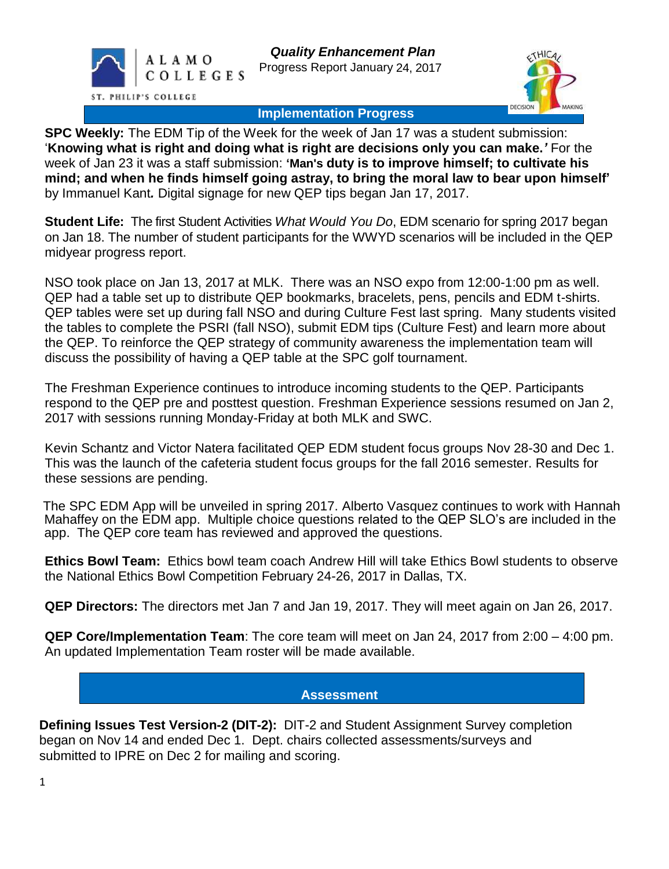



**Implementation Progress**

**SPC Weekly:** The EDM Tip of the Week for the week of Jan 17 was a student submission: '**Knowing what is right and doing what is right are decisions only you can make.***'* For the week of Jan 23 it was a staff submission: **'Man's duty is to improve himself; to cultivate his mind; and when he finds himself going astray, to bring the moral law to bear upon himself'** by Immanuel Kant*.* Digital signage for new QEP tips began Jan 17, 2017.

**Student Life:** The first Student Activities *What Would You Do*, EDM scenario for spring 2017 began on Jan 18. The number of student participants for the WWYD scenarios will be included in the QEP midyear progress report.

NSO took place on Jan 13, 2017 at MLK. There was an NSO expo from 12:00-1:00 pm as well. QEP had a table set up to distribute QEP bookmarks, bracelets, pens, pencils and EDM t-shirts. QEP tables were set up during fall NSO and during Culture Fest last spring. Many students visited the tables to complete the PSRI (fall NSO), submit EDM tips (Culture Fest) and learn more about the QEP. To reinforce the QEP strategy of community awareness the implementation team will discuss the possibility of having a QEP table at the SPC golf tournament.

The Freshman Experience continues to introduce incoming students to the QEP. Participants respond to the QEP pre and posttest question. Freshman Experience sessions resumed on Jan 2, 2017 with sessions running Monday-Friday at both MLK and SWC.

Kevin Schantz and Victor Natera facilitated QEP EDM student focus groups Nov 28-30 and Dec 1. This was the launch of the cafeteria student focus groups for the fall 2016 semester. Results for these sessions are pending.

The SPC EDM App will be unveiled in spring 2017. Alberto Vasquez continues to work with Hannah Mahaffey on the EDM app. Multiple choice questions related to the QEP SLO's are included in the app. The QEP core team has reviewed and approved the questions.

**Ethics Bowl Team:** Ethics bowl team coach Andrew Hill will take Ethics Bowl students to observe the National Ethics Bowl Competition February 24-26, 2017 in Dallas, TX.

**QEP Directors:** The directors met Jan 7 and Jan 19, 2017. They will meet again on Jan 26, 2017.

**QEP Core/Implementation Team**: The core team will meet on Jan 24, 2017 from 2:00 – 4:00 pm. An updated Implementation Team roster will be made available.

## **Assessment**

**Defining Issues Test Version-2 (DIT-2):** DIT-2 and Student Assignment Survey completion began on Nov 14 and ended Dec 1. Dept. chairs collected assessments/surveys and submitted to IPRE on Dec 2 for mailing and scoring.